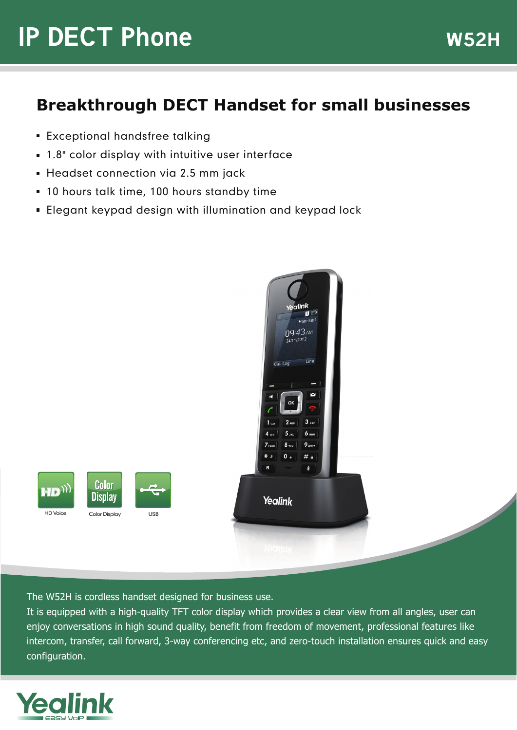# **IP DECT Phone** W52H

### **Breakthrough DECT Handset for small businesses**

- **Exceptional handsfree talking**
- 1.8" color display with intuitive user interface
- **Headset connection via 2.5 mm jack**
- 10 hours talk time, 100 hours standby time
- Elegant keypad design with illumination and keypad lock



The W52H is cordless handset designed for business use.

It is equipped with a high-quality TFT color display which provides a clear view from all angles, user can enjoy conversations in high sound quality, benefit from freedom of movement, professional features like intercom, transfer, call forward, 3-way conferencing etc, and zero-touch installation ensures quick and easy configuration.